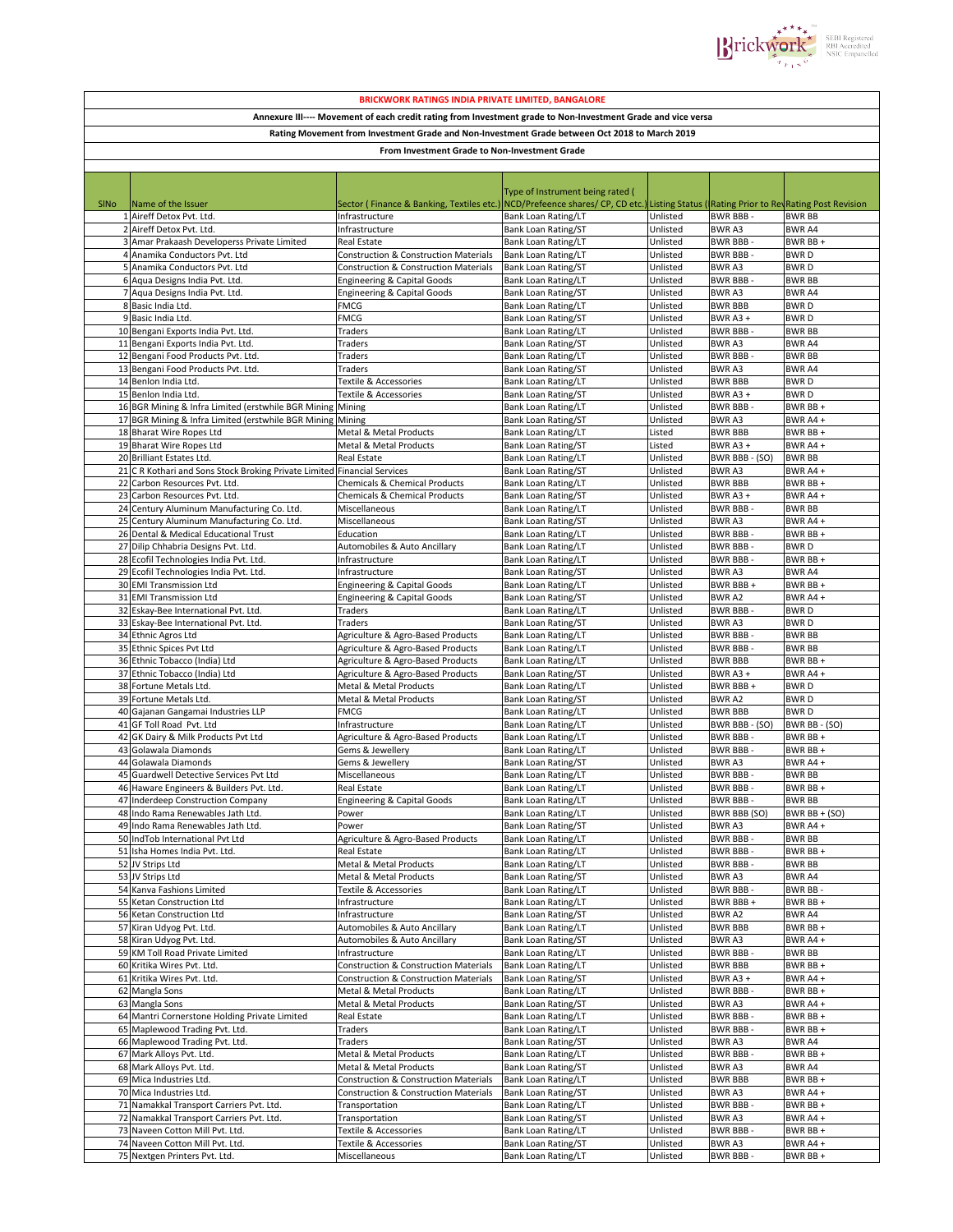

| <b>BRICKWORK RATINGS INDIA PRIVATE LIMITED, BANGALORE</b>                                                    |                                                                                          |                                                             |                                                   |                      |                                   |                                                         |  |  |  |  |  |
|--------------------------------------------------------------------------------------------------------------|------------------------------------------------------------------------------------------|-------------------------------------------------------------|---------------------------------------------------|----------------------|-----------------------------------|---------------------------------------------------------|--|--|--|--|--|
| Annexure III---- Movement of each credit rating from Investment grade to Non-Investment Grade and vice versa |                                                                                          |                                                             |                                                   |                      |                                   |                                                         |  |  |  |  |  |
| Rating Movement from Investment Grade and Non-Investment Grade between Oct 2018 to March 2019                |                                                                                          |                                                             |                                                   |                      |                                   |                                                         |  |  |  |  |  |
|                                                                                                              |                                                                                          |                                                             |                                                   |                      |                                   |                                                         |  |  |  |  |  |
| From Investment Grade to Non-Investment Grade                                                                |                                                                                          |                                                             |                                                   |                      |                                   |                                                         |  |  |  |  |  |
|                                                                                                              |                                                                                          |                                                             |                                                   |                      |                                   |                                                         |  |  |  |  |  |
|                                                                                                              |                                                                                          |                                                             | Type of Instrument being rated (                  |                      |                                   |                                                         |  |  |  |  |  |
| <b>SINO</b>                                                                                                  | Name of the Issuer                                                                       | Sector (Finance & Banking, Textiles etc.)                   | NCD/Prefeence shares/ CP, CD etc.)                |                      |                                   | Listing Status (Rating Prior to RevRating Post Revision |  |  |  |  |  |
|                                                                                                              | 1 Aireff Detox Pvt. Ltd.                                                                 | Infrastructure                                              | Bank Loan Rating/LT                               | Unlisted             | BWR BBB -                         | <b>BWR BB</b>                                           |  |  |  |  |  |
|                                                                                                              | 2 Aireff Detox Pvt. Ltd.                                                                 | Infrastructure                                              | Bank Loan Rating/ST                               | Unlisted             | <b>BWRA3</b>                      | <b>BWRA4</b>                                            |  |  |  |  |  |
|                                                                                                              | 3 Amar Prakaash Developerss Private Limited                                              | Real Estate                                                 | Bank Loan Rating/LT                               | Unlisted             | <b>BWR BBB-</b>                   | BWR BB+                                                 |  |  |  |  |  |
|                                                                                                              | 4 Anamika Conductors Pvt. Ltd                                                            | Construction & Construction Materials                       | Bank Loan Rating/LT                               | Unlisted             | BWR BBB -                         | <b>BWRD</b>                                             |  |  |  |  |  |
|                                                                                                              | 5 Anamika Conductors Pvt. Ltd                                                            | Construction & Construction Materials                       | <b>Bank Loan Rating/ST</b>                        | Unlisted             | <b>BWRA3</b>                      | <b>BWRD</b>                                             |  |  |  |  |  |
|                                                                                                              | 6 Aqua Designs India Pvt. Ltd.                                                           | <b>Engineering &amp; Capital Goods</b>                      | Bank Loan Rating/LT                               | Unlisted             | <b>BWR BBB</b>                    | <b>BWR BB</b>                                           |  |  |  |  |  |
|                                                                                                              | 7 Aqua Designs India Pvt. Ltd.                                                           | <b>Engineering &amp; Capital Goods</b>                      | <b>Bank Loan Rating/ST</b>                        | Unlisted             | BWR A3                            | BWR A4                                                  |  |  |  |  |  |
|                                                                                                              | 8 Basic India Ltd.                                                                       | <b>FMCG</b>                                                 | <b>Bank Loan Rating/LT</b>                        | Unlisted             | <b>BWR BBB</b>                    | <b>BWRD</b>                                             |  |  |  |  |  |
|                                                                                                              | 9 Basic India Ltd.                                                                       | FMCG                                                        | <b>Bank Loan Rating/ST</b>                        | Unlisted             | BWR A3 +                          | <b>BWRD</b>                                             |  |  |  |  |  |
|                                                                                                              | 10 Bengani Exports India Pvt. Ltd.                                                       | Traders                                                     | Bank Loan Rating/LT                               | Unlisted             | <b>BWR BBB-</b>                   | <b>BWR BB</b>                                           |  |  |  |  |  |
|                                                                                                              | 11 Bengani Exports India Pvt. Ltd.<br>12 Bengani Food Products Pvt. Ltd.                 | Traders<br>Traders                                          | <b>Bank Loan Rating/ST</b><br>Bank Loan Rating/LT | Unlisted<br>Unlisted | BWR A3<br><b>BWR BBB-</b>         | <b>BWR A4</b><br><b>BWR BB</b>                          |  |  |  |  |  |
|                                                                                                              | 13 Bengani Food Products Pvt. Ltd.                                                       | Traders                                                     | <b>Bank Loan Rating/ST</b>                        | Unlisted             | <b>BWRA3</b>                      | BWR A4                                                  |  |  |  |  |  |
|                                                                                                              | 14 Benlon India Ltd.                                                                     | Textile & Accessories                                       | <b>Bank Loan Rating/LT</b>                        | Unlisted             | <b>BWR BBB</b>                    | <b>BWRD</b>                                             |  |  |  |  |  |
|                                                                                                              | 15 Benlon India Ltd.                                                                     | Textile & Accessories                                       | <b>Bank Loan Rating/ST</b>                        | Unlisted             | BWR A3+                           | <b>BWRD</b>                                             |  |  |  |  |  |
|                                                                                                              | 16 BGR Mining & Infra Limited (erstwhile BGR Mining                                      | Mining                                                      | Bank Loan Rating/LT                               | Unlisted             | <b>BWR BBB-</b>                   | BWR BB +                                                |  |  |  |  |  |
|                                                                                                              | 17 BGR Mining & Infra Limited (erstwhile BGR Mining                                      | Mining                                                      | <b>Bank Loan Rating/ST</b>                        | Unlisted             | BWR A3                            | BWR A4 +                                                |  |  |  |  |  |
|                                                                                                              | 18 Bharat Wire Ropes Ltd                                                                 | Metal & Metal Products                                      | <b>Bank Loan Rating/LT</b>                        | Listed               | <b>BWR BBB</b>                    | BWR BB+                                                 |  |  |  |  |  |
|                                                                                                              | 19 Bharat Wire Ropes Ltd                                                                 | Metal & Metal Products                                      | Bank Loan Rating/ST                               | Listed               | BWR A3 +                          | BWR A4+                                                 |  |  |  |  |  |
|                                                                                                              | 20 Brilliant Estates Ltd.                                                                | Real Estate                                                 | <b>Bank Loan Rating/LT</b>                        | Unlisted             | BWR BBB - (SO)                    | <b>BWR BB</b>                                           |  |  |  |  |  |
|                                                                                                              | 21 C R Kothari and Sons Stock Broking Private Limited                                    | <b>Financial Services</b>                                   | Bank Loan Rating/ST                               | Unlisted             | <b>BWRA3</b>                      | BWR A4 +                                                |  |  |  |  |  |
|                                                                                                              | 22 Carbon Resources Pvt. Ltd.                                                            | Chemicals & Chemical Products                               | <b>Bank Loan Rating/LT</b>                        | Unlisted             | <b>BWR BBB</b>                    | BWR BB +                                                |  |  |  |  |  |
|                                                                                                              | 23 Carbon Resources Pvt. Ltd.                                                            | <b>Chemicals &amp; Chemical Products</b>                    | <b>Bank Loan Rating/ST</b>                        | Unlisted             | BWR A3+                           | BWR A4 +                                                |  |  |  |  |  |
|                                                                                                              | 24 Century Aluminum Manufacturing Co. Ltd.<br>25 Century Aluminum Manufacturing Co. Ltd. | Miscellaneous<br>Miscellaneous                              | Bank Loan Rating/LT                               | Unlisted<br>Unlisted | <b>BWR BBB</b><br>BWR A3          | <b>BWR BB</b><br>BWR A4+                                |  |  |  |  |  |
|                                                                                                              | 26 Dental & Medical Educational Trust                                                    | Education                                                   | Bank Loan Rating/ST<br>Bank Loan Rating/LT        | Unlisted             | <b>BWR BBB-</b>                   | BWR BB+                                                 |  |  |  |  |  |
|                                                                                                              | 27 Dilip Chhabria Designs Pvt. Ltd.                                                      | Automobiles & Auto Ancillary                                | <b>Bank Loan Rating/LT</b>                        | Unlisted             | BWR BBB -                         | <b>BWRD</b>                                             |  |  |  |  |  |
|                                                                                                              | 28 Ecofil Technologies India Pvt. Ltd.                                                   | Infrastructure                                              | Bank Loan Rating/LT                               | Unlisted             | <b>BWR BBB-</b>                   | BWR BB +                                                |  |  |  |  |  |
|                                                                                                              | 29 Ecofil Technologies India Pvt. Ltd.                                                   | Infrastructure                                              | Bank Loan Rating/ST                               | Unlisted             | BWR A3                            | <b>BWRA4</b>                                            |  |  |  |  |  |
|                                                                                                              | 30 EMI Transmission Ltd                                                                  | <b>Engineering &amp; Capital Goods</b>                      | Bank Loan Rating/LT                               | Unlisted             | BWR BBB +                         | BWR BB+                                                 |  |  |  |  |  |
|                                                                                                              | 31 EMI Transmission Ltd                                                                  | <b>Engineering &amp; Capital Goods</b>                      | Bank Loan Rating/ST                               | Unlisted             | <b>BWRA2</b>                      | BWR A4+                                                 |  |  |  |  |  |
|                                                                                                              | 32 Eskay-Bee International Pvt. Ltd.                                                     | Traders                                                     | Bank Loan Rating/LT                               | Unlisted             | <b>BWR BBB-</b>                   | <b>BWRD</b>                                             |  |  |  |  |  |
|                                                                                                              | 33 Eskay-Bee International Pvt. Ltd.                                                     | Traders                                                     | Bank Loan Rating/ST                               | Unlisted             | <b>BWRA3</b>                      | <b>BWRD</b>                                             |  |  |  |  |  |
|                                                                                                              | 34 Ethnic Agros Ltd                                                                      | Agriculture & Agro-Based Products                           | Bank Loan Rating/LT                               | Unlisted             | <b>BWR BBB</b>                    | <b>BWR BB</b>                                           |  |  |  |  |  |
|                                                                                                              | 35 Ethnic Spices Pvt Ltd                                                                 | Agriculture & Agro-Based Products                           | Bank Loan Rating/LT                               | Unlisted             | <b>BWR BBB-</b>                   | <b>BWR BB</b>                                           |  |  |  |  |  |
|                                                                                                              | 36 Ethnic Tobacco (India) Ltd                                                            | Agriculture & Agro-Based Products                           | Bank Loan Rating/LT                               | Unlisted             | <b>BWR BBB</b>                    | BWR BB+                                                 |  |  |  |  |  |
|                                                                                                              | 37 Ethnic Tobacco (India) Ltd                                                            | Agriculture & Agro-Based Products                           | Bank Loan Rating/ST                               | Unlisted             | BWR A3+                           | BWR A4 +                                                |  |  |  |  |  |
|                                                                                                              | 38 Fortune Metals Ltd.<br>39 Fortune Metals Ltd.                                         | Metal & Metal Products<br><b>Metal &amp; Metal Products</b> | <b>Bank Loan Rating/LT</b><br>Bank Loan Rating/ST | Unlisted<br>Unlisted | BWR BBB +<br>BWR A2               | <b>BWRD</b><br><b>BWRD</b>                              |  |  |  |  |  |
|                                                                                                              | 40 Gajanan Gangamai Industries LLP                                                       | <b>FMCG</b>                                                 | <b>Bank Loan Rating/LT</b>                        | Unlisted             | <b>BWR BBB</b>                    | <b>BWRD</b>                                             |  |  |  |  |  |
|                                                                                                              | 41 GF Toll Road Pvt. Ltd                                                                 | Infrastructure                                              | Bank Loan Rating/LT                               | Unlisted             | BWR BBB - (SO)                    | BWR BB - (SO)                                           |  |  |  |  |  |
|                                                                                                              | 42 GK Dairy & Milk Products Pvt Ltd                                                      | Agriculture & Agro-Based Products                           | Bank Loan Rating/LT                               | Unlisted             | <b>BWR BBB-</b>                   | BWR BB+                                                 |  |  |  |  |  |
|                                                                                                              | 43 Golawala Diamonds                                                                     | Gems & Jewellery                                            | Bank Loan Rating/LT                               | Unlisted             | <b>BWR BBB-</b>                   | BWR BB+                                                 |  |  |  |  |  |
|                                                                                                              | 44 Golawala Diamonds                                                                     | Gems & Jewellery                                            | Bank Loan Rating/ST                               | Unlisted             | BWR A3                            | BWR A4+                                                 |  |  |  |  |  |
|                                                                                                              | 45 Guardwell Detective Services Pvt Ltd                                                  | Miscellaneous                                               | <b>Bank Loan Rating/LT</b>                        | Unlisted             | <b>BWR BBB</b>                    | <b>BWR BB</b>                                           |  |  |  |  |  |
|                                                                                                              | 46 Haware Engineers & Builders Pvt. Ltd                                                  | <b>Real Estate</b>                                          | Bank Loan Rating/LT                               | Unlisted             | <b>BWR BBB</b>                    | BWR BB+                                                 |  |  |  |  |  |
|                                                                                                              | 47 Inderdeep Construction Company                                                        | <b>Engineering &amp; Capital Goods</b>                      | Bank Loan Rating/LT                               | Unlisted             | <b>BWR BBB</b>                    | <b>BWR BB</b>                                           |  |  |  |  |  |
|                                                                                                              | 48 Indo Rama Renewables Jath Ltd.                                                        | Power                                                       | Bank Loan Rating/LT                               | Unlisted             | <b>BWR BBB (SO)</b>               | BWR BB + (SO)                                           |  |  |  |  |  |
|                                                                                                              | 49 Indo Rama Renewables Jath Ltd.                                                        | Power                                                       | Bank Loan Rating/ST                               | Unlisted             | BWR A3                            | BWR A4+                                                 |  |  |  |  |  |
|                                                                                                              | 50 IndTob International Pvt Ltd<br>51 Isha Homes India Pvt. Ltd.                         | Agriculture & Agro-Based Products<br>Real Estate            | Bank Loan Rating/LT<br>Bank Loan Rating/LT        | Unlisted<br>Unlisted | <b>BWR BBB</b><br><b>BWR BBB-</b> | <b>BWR BB</b><br>BWR BB+                                |  |  |  |  |  |
|                                                                                                              | 52 JV Strips Ltd                                                                         | Metal & Metal Products                                      | Bank Loan Rating/LT                               | Unlisted             | <b>BWR BBB</b>                    | <b>BWR BB</b>                                           |  |  |  |  |  |
|                                                                                                              | 53 JV Strips Ltd                                                                         | Metal & Metal Products                                      | Bank Loan Rating/ST                               | Unlisted             | BWR A3                            | <b>BWRA4</b>                                            |  |  |  |  |  |
|                                                                                                              | 54 Kanva Fashions Limited                                                                | Textile & Accessories                                       | Bank Loan Rating/LT                               | Unlisted             | <b>BWR BBB</b>                    | BWR BB-                                                 |  |  |  |  |  |
|                                                                                                              | 55 Ketan Construction Ltd                                                                | Infrastructure                                              | Bank Loan Rating/LT                               | Unlisted             | BWR BBB+                          | BWR BB +                                                |  |  |  |  |  |
|                                                                                                              | 56 Ketan Construction Ltd                                                                | Infrastructure                                              | Bank Loan Rating/ST                               | Unlisted             | BWR A2                            | <b>BWRA4</b>                                            |  |  |  |  |  |
|                                                                                                              | 57 Kiran Udyog Pvt. Ltd.                                                                 | Automobiles & Auto Ancillary                                | Bank Loan Rating/LT                               | Unlisted             | <b>BWR BBB</b>                    | BWR BB +                                                |  |  |  |  |  |
|                                                                                                              | 58 Kiran Udyog Pvt. Ltd.                                                                 | Automobiles & Auto Ancillary                                | Bank Loan Rating/ST                               | Unlisted             | BWR A3                            | BWR A4+                                                 |  |  |  |  |  |
|                                                                                                              | 59 KM Toll Road Private Limited                                                          | Infrastructure                                              | Bank Loan Rating/LT                               | Unlisted             | <b>BWR BBB</b>                    | <b>BWR BB</b>                                           |  |  |  |  |  |
|                                                                                                              | 60 Kritika Wires Pvt. Ltd.                                                               | Construction & Construction Materials                       | Bank Loan Rating/LT                               | Unlisted             | <b>BWR BBB</b>                    | BWR BB+                                                 |  |  |  |  |  |
|                                                                                                              | 61 Kritika Wires Pvt. Ltd.                                                               | Construction & Construction Materials                       | Bank Loan Rating/ST                               | Unlisted             | BWR A3 +                          | BWR A4+                                                 |  |  |  |  |  |
|                                                                                                              | 62 Mangla Sons                                                                           | Metal & Metal Products                                      | Bank Loan Rating/LT                               | Unlisted             | <b>BWR BBB-</b>                   | BWR BB+                                                 |  |  |  |  |  |
|                                                                                                              | 63 Mangla Sons                                                                           | Metal & Metal Products                                      | Bank Loan Rating/ST                               | Unlisted             | BWR A3                            | BWR A4+                                                 |  |  |  |  |  |
|                                                                                                              | 64 Mantri Cornerstone Holding Private Limited                                            | Real Estate                                                 | Bank Loan Rating/LT                               | Unlisted             | <b>BWR BBB</b>                    | BWR BB+                                                 |  |  |  |  |  |
|                                                                                                              | 65 Maplewood Trading Pvt. Ltd.<br>66 Maplewood Trading Pvt. Ltd.                         | Traders<br>Traders                                          | Bank Loan Rating/LT<br>Bank Loan Rating/ST        | Unlisted<br>Unlisted | <b>BWR BBB</b><br>BWR A3          | BWR BB +<br><b>BWRA4</b>                                |  |  |  |  |  |
|                                                                                                              | 67 Mark Alloys Pvt. Ltd.                                                                 | Metal & Metal Products                                      | Bank Loan Rating/LT                               | Unlisted             | <b>BWR BBB</b>                    | BWR BB +                                                |  |  |  |  |  |
|                                                                                                              | 68 Mark Alloys Pvt. Ltd.                                                                 | Metal & Metal Products                                      | Bank Loan Rating/ST                               | Unlisted             | BWR A3                            | BWR A4                                                  |  |  |  |  |  |
|                                                                                                              | 69 Mica Industries Ltd.                                                                  | Construction & Construction Materials                       | Bank Loan Rating/LT                               | Unlisted             | <b>BWR BBB</b>                    | BWR BB+                                                 |  |  |  |  |  |
|                                                                                                              | 70 Mica Industries Ltd.                                                                  | Construction & Construction Materials                       | Bank Loan Rating/ST                               | Unlisted             | <b>BWRA3</b>                      | BWR A4+                                                 |  |  |  |  |  |
|                                                                                                              | 71 Namakkal Transport Carriers Pvt. Ltd.                                                 | Transportation                                              | Bank Loan Rating/LT                               | Unlisted             | <b>BWR BBB-</b>                   | BWR BB+                                                 |  |  |  |  |  |
|                                                                                                              | 72 Namakkal Transport Carriers Pvt. Ltd.                                                 | Transportation                                              | Bank Loan Rating/ST                               | Unlisted             | BWR A3                            | BWR A4+                                                 |  |  |  |  |  |
|                                                                                                              | 73 Naveen Cotton Mill Pvt. Ltd.                                                          | Textile & Accessories                                       | Bank Loan Rating/LT                               | Unlisted             | BWR BBB-                          | BWR BB+                                                 |  |  |  |  |  |
|                                                                                                              | 74 Naveen Cotton Mill Pvt. Ltd.                                                          | Textile & Accessories                                       | Bank Loan Rating/ST                               | Unlisted             | BWR A3                            | BWR A4+                                                 |  |  |  |  |  |
|                                                                                                              | 75 Nextgen Printers Pvt. Ltd.                                                            | Miscellaneous                                               | Bank Loan Rating/LT                               | Unlisted             | <b>BWR BBB</b>                    | BWR BB+                                                 |  |  |  |  |  |
|                                                                                                              |                                                                                          |                                                             |                                                   |                      |                                   |                                                         |  |  |  |  |  |